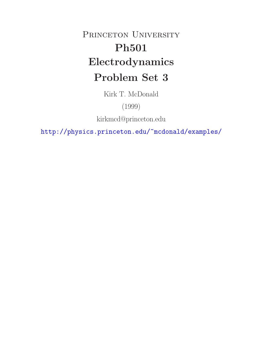## PRINCETON UNIVERSITY **Ph501 Electrodynamics Problem Set 3**

Kirk T. McDonald

(1999)

kirkmcd@princeton.edu

http://physics.princeton.edu/~mcdonald/examples/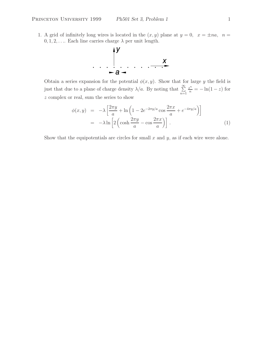1. A grid of infinitely long wires is located in the  $(x, y)$  plane at  $y = 0$ ,  $x = \pm na$ ,  $n =$  $0, 1, 2, \ldots$  Each line carries charge  $\lambda$  per unit length.



Obtain a series expansion for the potential  $\phi(x, y)$ . Show that for large y the field is just that due to a plane of charge density  $\lambda/a$ . By noting that  $\sum_{n=1}^{\infty}$  $n=1$  $\frac{z^n}{n} = -\ln(1-z)$  for z complex or real, sum the series to show

$$
\begin{aligned}\n\phi(x,y) &= -\lambda \left[ \frac{2\pi y}{a} + \ln \left( 1 - 2e^{-2\pi y/a} \cos \frac{2\pi x}{a} + e^{-4\pi y/a} \right) \right] \\
&= -\lambda \ln \left[ 2 \left( \cosh \frac{2\pi y}{a} - \cos \frac{2\pi x}{a} \right) \right].\n\end{aligned} \tag{1}
$$

Show that the equipotentials are circles for small  $x$  and  $y$ , as if each wire were alone.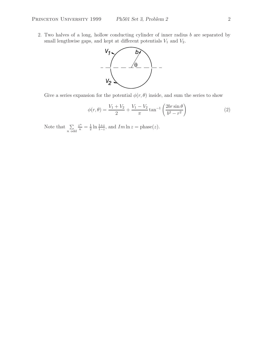2. Two halves of a long, hollow conducting cylinder of inner radius b are separated by small lengthwise gaps, and kept at different potentials  $V_1$  and  $V_2$ .



Give a series expansion for the potential  $\phi(r, \theta)$  inside, and sum the series to show

$$
\phi(r,\theta) = \frac{V_1 + V_2}{2} + \frac{V_1 - V_2}{\pi} \tan^{-1} \left( \frac{2br \sin \theta}{b^2 - r^2} \right)
$$
 (2)

Note that  $\Sigma$  $\overline{n}$  odd  $\frac{z^n}{n} = \frac{1}{2} \ln \frac{1+z}{1-z}$ , and  $Im \ln z = \text{phase}(z)$ .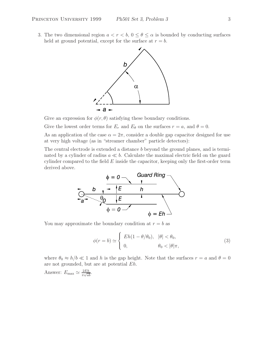3. The two dimensional region  $a < r < b$ ,  $0 \le \theta \le \alpha$  is bounded by conducting surfaces held at ground potential, except for the surface at  $r = b$ .



Give an expression for  $\phi(r, \theta)$  satisfying these boundary conditions.

Give the lowest order terms for  $E_r$  and  $E_\theta$  on the surfaces  $r = a$ , and  $\theta = 0$ .

As an application of the case  $\alpha = 2\pi$ , consider a double gap capacitor designed for use at very high voltage (as in "streamer chamber" particle detectors):

The central electrode is extended a distance b beyond the ground planes, and is terminated by a cylinder of radius  $a \ll b$ . Calculate the maximal electric field on the guard cylinder compared to the field  $E$  inside the capacitor, keeping only the first-order term derived above.



You may approximate the boundary condition at  $r = b$  as

$$
\phi(r=b) \simeq \begin{cases} Eh(1-\theta/\theta_0), & |\theta| < \theta_0, \\ 0, & \theta_0 < |\theta|\pi, \end{cases}
$$
 (3)

where  $\theta_0 \approx h/b \ll 1$  and h is the gap height. Note that the surfaces  $r = a$  and  $\theta = 0$ are not grounded, but are at potential Eh.

Answer:  $E_{\text{max}} \simeq \frac{2Eh}{\pi\sqrt{ab}}$ .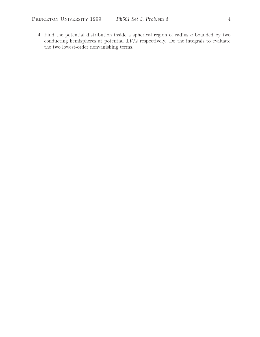4. Find the potential distribution inside a spherical region of radius a bounded by two conducting hemispheres at potential  $\pm V/2$  respectively. Do the integrals to evaluate the two lowest-order nonvanishing terms.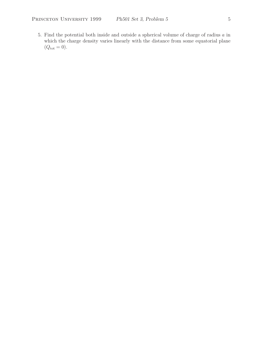5. Find the potential both inside and outside a spherical volume of charge of radius  $a$  in which the charge density varies linearly with the distance from some equatorial plane  $(Q_{\text{tot}} = 0).$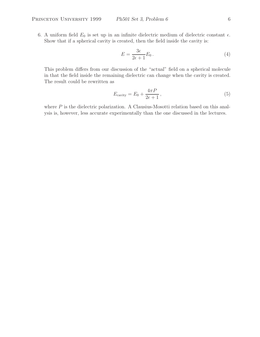6. A uniform field  $E_0$  is set up in an infinite dielectric medium of dielectric constant  $\epsilon$ . Show that if a spherical cavity is created, then the field inside the cavity is:

$$
E = \frac{3\epsilon}{2\epsilon + 1} E_0 \,. \tag{4}
$$

This problem differs from our discussion of the "actual" field on a spherical molecule in that the field inside the remaining dielectric can change when the cavity is created. The result could be rewritten as

$$
E_{\text{cavity}} = E_0 + \frac{4\pi P}{2\epsilon + 1},\tag{5}
$$

where  $P$  is the dielectric polarization. A Clausius-Mosotti relation based on this analysis is, however, less accurate experimentally than the one discussed in the lectures.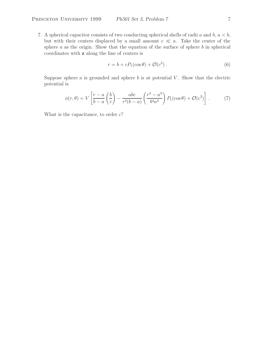7. A spherical capacitor consists of two conducting spherical shells of radii a and b,  $a < b$ , but with their centers displaced by a small amount  $c \ll a$ . Take the center of the sphere  $a$  as the origin. Show that the equation of the surface of sphere  $b$  in spherical coordinates with **z** along the line of centers is

$$
r = b + cP_1(\cos \theta) + \mathcal{O}(c^2). \tag{6}
$$

Suppose sphere  $a$  is grounded and sphere  $b$  is at potential  $V$ . Show that the electric potential is

$$
\phi(r,\theta) = V \left[ \frac{r-a}{b-a} \left( \frac{b}{r} \right) - \frac{abc}{r^2(b-a)} \left( \frac{r^3 - a^3}{b^3 a^3} \right) P_1(\cos \theta) + \mathcal{O}(c^2) \right]. \tag{7}
$$

What is the capacitance, to order  $c$ ?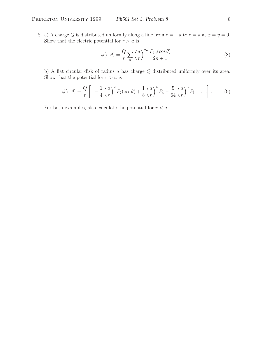8. a) A charge Q is distributed uniformly along a line from  $z = -a$  to  $z = a$  at  $x = y = 0$ . Show that the electric potential for  $r > a$  is

$$
\phi(r,\theta) = \frac{Q}{r} \sum_{n} \left(\frac{a}{r}\right)^{2n} \frac{P_{2n}(\cos\theta)}{2n+1}.
$$
\n(8)

b) A flat circular disk of radius a has charge Q distributed uniformly over its area. Show that the potential for  $r > a$  is

$$
\phi(r,\theta) = \frac{Q}{r} \left[ 1 - \frac{1}{4} \left( \frac{a}{r} \right)^2 P_2(\cos \theta) + \frac{1}{8} \left( \frac{a}{r} \right)^4 P_4 - \frac{5}{64} \left( \frac{a}{r} \right)^6 P_6 + \ldots \right].
$$
 (9)

For both examples, also calculate the potential for  $r < a$ .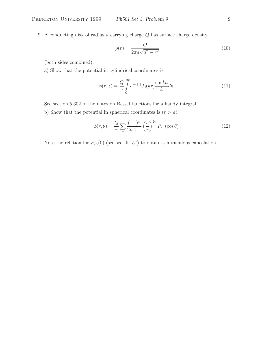9. A conducting disk of radius  $a$  carrying charge  $Q$  has surface charge density

$$
\rho(r) = \frac{Q}{2\pi a\sqrt{a^2 - r^2}}\tag{10}
$$

(both sides combined).

a) Show that the potential in cylindrical coordinates is

$$
\phi(r,z) = \frac{Q}{a} \int_{0}^{\infty} e^{-k|z|} J_0(kr) \frac{\sin ka}{k} dk.
$$
\n(11)

See section 5.302 of the notes on Bessel functions for a handy integral.

b) Show that the potential in spherical coordinates is  $(r > a)$ :

$$
\phi(r,\theta) = \frac{Q}{r} \sum_{n} \frac{(-1)^n}{2n+1} \left(\frac{a}{r}\right)^{2n} P_{2n}(\cos\theta). \tag{12}
$$

Note the relation for  $P_{2n}(0)$  (see sec. 5.157) to obtain a miraculous cancelation.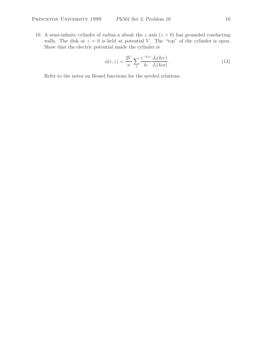10. A semi-infinite cylinder of radius a about the z axis  $(z > 0)$  has grounded conducting walls. The disk at  $z = 0$  is held at potential V. The "top" of the cylinder is open. Show that the electric potential inside the cylinder is

$$
\phi(r,z) = \frac{2V}{a} \sum_{l} \frac{e^{-k_l z}}{k_l} \frac{J_0(k_l r)}{J_1(k_l a)}.
$$
\n(13)

Refer to the notes on Bessel functions for the needed relations.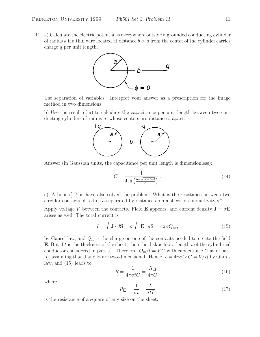11. a) Calculate the electric potential  $\phi$  everywhere outside a grounded conducting cylinder of radius a if a thin wire located at distance  $b > a$  from the center of the cylinder carries charge q per unit length.



Use separation of variables. Interpret your answer as a prescription for the image method in two dimensions.

b) Use the result of a) to calculate the capacitance per unit length between two conducting cylinders of radius a, whose centers are distance b apart.



Answer (in Gaussian units, the capacitance per unit length is dimensionless):

$$
C = \frac{1}{4\ln\left(\frac{b + \sqrt{b^2 - 4a^2}}{2a}\right)}.
$$
\n(14)

c) [A bonus.] You have also solved the problem: What is the resistance between two circular contacts of radius a separated by distance b on a sheet of conductivity  $\sigma$ ?

Apply voltage V between the contacts. Field **E** appears, and current density  $\mathbf{J} = \sigma \mathbf{E}$ arises as well. The total current is

$$
I = \int \mathbf{J} \cdot d\mathbf{S} = \sigma \int \mathbf{E} \cdot d\mathbf{S} = 4\pi \sigma Q_{\text{in}},
$$
\n(15)

by Gauss' law, and  $Q_{\text{in}}$  is the charge on one of the contacts needed to create the field **E**. But if t is the thickness of the sheet, then the disk is like a length t of the cylindrical conductor considered in part a). Therefore,  $Q_{\text{in}}/t = VC$  with capacitance C as in part b), assuming that **J** and **E** are two-dimensional. Hence,  $I = 4\pi\sigma tVC = V/R$  by Ohm's law, and (15) leads to

$$
R = \frac{1}{4\pi\sigma tC} = \frac{R_{\square}}{4\pi C} \,. \tag{16}
$$

where

$$
R_{\Box} = \frac{1}{\sigma t} = \frac{L}{\sigma t L} \tag{17}
$$

is the resistance of a square of any size on the sheet.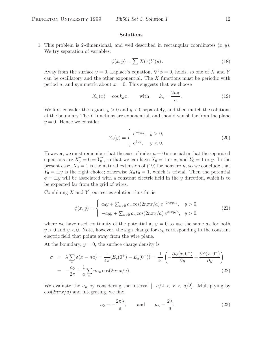## **Solutions**

1. This problem is 2-dimensional, and well described in rectangular coordinates  $(x, y)$ . We try separation of variables:

$$
\phi(x,y) = \sum X(x)Y(y). \tag{18}
$$

Away from the surface  $y = 0$ , Laplace's equation,  $\nabla^2 \phi = 0$ , holds, so one of X and Y can be oscillatory and the other exponential. The  $X$  functions must be periodic with period a, and symmetric about  $x = 0$ . This suggests that we choose

$$
X_n(x) = \cos k_n x, \quad \text{with} \quad k_n = \frac{2n\pi}{a} \,. \tag{19}
$$

We first consider the regions  $y > 0$  and  $y < 0$  separately, and then match the solutions at the boundary The Y functions are exponential, and should vanish far from the plane  $y = 0$ . Hence we consider

$$
Y_n(y) = \begin{cases} e^{-k_n y}, & y > 0, \\ e^{k_n y}, & y < 0. \end{cases}
$$
 (20)

However, we must remember that the case of index  $n = 0$  is special in that the separated equations are  $X_0'' = 0 = Y_0''$ , so that we can have  $X_0 = 1$  or x, and  $Y_0 = 1$  or y. In the present case,  $X_0 = 1$  is the natural extension of (19) for nonzero n, so we conclude that  $Y_0 = \pm y$  is the right choice; otherwise  $X_0 Y_0 = 1$ , which is trivial. Then the potential  $\phi = \pm y$  will be associated with a constant electric field in the y direction, which is to be expected far from the grid of wires.

Combining  $X$  and  $Y$ , our series solution thus far is

$$
\phi(x,y) = \begin{cases}\na_0 y + \sum_{n>0} a_n \cos(2n\pi x/a) e^{-2n\pi y/a}, & y > 0, \\
-a_0 y + \sum_{n>0} a_n \cos(2n\pi x/a) e^{2n\pi y/a}, & y > 0,\n\end{cases}
$$
\n(21)

where we have used continuity of the potential at  $y = 0$  to use the same  $a_n$  for both  $y > 0$  and  $y < 0$ . Note, however, the sign change for  $a_0$ , corresponding to the constant electric field that points away from the wire plane.

At the boundary,  $y = 0$ , the surface charge density is

$$
\sigma = \lambda \sum_{n} \delta(x - na) = \frac{1}{4\pi} (E_y(0^+) - E_y(0^-)) = \frac{1}{4\pi} \left( -\frac{\partial \phi(x, 0^+)}{\partial y} + \frac{\partial \phi(x, 0^-)}{\partial y} \right)
$$
  
= 
$$
-\frac{a_0}{2\pi} + \frac{1}{a} \sum_{n} na_n \cos(2n\pi x/a).
$$
 (22)

We evaluate the  $a_n$  by considering the interval  $[-a/2 < x < a/2]$ . Multiplying by  $\cos(2n\pi x/a)$  and integrating, we find

$$
a_0 = -\frac{2\pi\lambda}{a}, \quad \text{and} \quad a_n = \frac{2\lambda}{n}.
$$
 (23)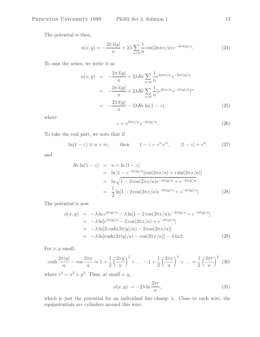The potential is then,

$$
\phi(x,y) = -\frac{2\pi\lambda|y|}{a} + 2\lambda \sum_{n>0} \frac{1}{n} \cos(2n\pi x/a) e^{-2n\pi|y|/a}.
$$
 (24)

To sum the series, we write it as

$$
\phi(x,y) = -\frac{2\pi\lambda|y|}{a} + 2\lambda Re \sum_{n>0} \frac{1}{n} e^{2n\pi x/a} e^{-2n\pi|y|/a}
$$
  

$$
= -\frac{2\pi\lambda|y|}{a} + 2\lambda Re \sum_{n>0} \frac{1}{n} (e^{2\pi ix/a} e^{-2\pi|y|/a})^n
$$
  

$$
= -\frac{2\pi\lambda|y|}{a} - 2\lambda Re \ln(1-z), \qquad (25)
$$

where

$$
z = e^{2\pi ix/a} e^{-2\pi |y|/a}.
$$
\n(26)

To take the real part, we note that if

$$
\ln(1-z) \equiv u + iv
$$
, then  $1-z = e^u e^{iv}$ ,  $|1-z| = e^u$ , (27)

and

$$
Re \ln(1-z) = u = \ln |1-z|
$$
  
=  $\ln |1 - e^{-2\pi |y|/a} [\cos(2\pi x/a) + i \sin(2\pi x/a)]$   
=  $\ln \sqrt{1 - 2 \cos(2\pi x/a) e^{-2\pi |y|/a} + e^{-4\pi |y|/a}}$   
=  $\frac{1}{2} \ln [1 - 2 \cos(2\pi x/a) e^{-2\pi |y|/a} + e^{-4\pi |y|/a}].$  (28)

The potential is now

$$
\phi(x,y) = -\lambda \ln e^{2\pi |y|/a} - \lambda \ln[1 - 2\cos(2\pi x/a)e^{-2\pi |y|/a} + e^{-4\pi |y|/a}]
$$
  
\n
$$
= -\lambda \ln[e^{2\pi |y|/a} - 2\cos(2\pi x/a) + e^{-2\pi |y|/a}]
$$
  
\n
$$
= -\lambda \ln[2\cosh(2\pi |y|/a) - 2\cos(2\pi x/a)]
$$
  
\n
$$
= -\lambda \ln[\cosh(2\pi |y|/a) - \cos(2\pi x/a)] - \lambda \ln 2.
$$
 (29)

For  $x, y$  small:

$$
\cosh \frac{2\pi|y|}{a} - \cos \frac{2\pi x}{a} \approx 1 + \frac{1}{2} \left(\frac{2\pi y}{a}\right)^2 + \dots - 1 + \frac{1}{2} \left(\frac{2\pi x}{a}\right)^2 + \dots = \frac{1}{2} \left(\frac{2\pi r}{a}\right)^2 \tag{30}
$$

where  $r^2 = x^2 + y^2$ . Thus, at small  $x, y$ ,

$$
\phi(x,y) \to -2\lambda \ln \frac{2\pi r}{a},\tag{31}
$$

which is just the potential for an individual line charge  $\lambda$ . Close to each wire, the equipotentials are cylinders around this wire.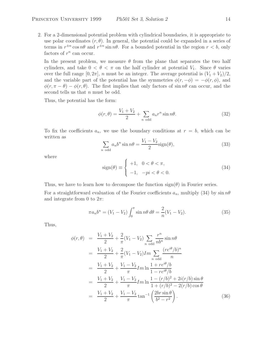2. For a 2-dimensional potential problem with cylindrical boundaries, it is appropriate to use polar coordinates  $(r, \theta)$ . In general, the potential could be expanded in a series of terms in  $r^{\pm n} \cos n\theta$  and  $r^{\pm n} \sin n\theta$ . For a bounded potential in the region  $r < b$ , only factors of  $r^n$  can occur.

In the present problem, we measure  $\theta$  from the plane that separates the two half cylinders, and take  $0 < \theta < \pi$  on the half cylinder at potential  $V_1$ . Since  $\theta$  varies over the full range  $[0, 2\pi]$ , n must be an integer. The average potential is  $(V_1 + V_2)/2$ , and the variable part of the potential has the symmetries  $\phi(r, -\phi) = -\phi(r, \phi)$ , and  $\phi(r, \pi - \theta) - \phi(r, \theta)$ . The first implies that only factors of sin  $n\theta$  can occur, and the second tells us that *n* must be odd.

Thus, the potential has the form:

$$
\phi(r,\theta) = \frac{V_1 + V_2}{2} + \sum_{n \text{ odd}} a_n r^n \sin n\theta.
$$
\n(32)

To fix the coefficients  $a_n$ , we use the boundary conditions at  $r = b$ , which can be written as

$$
\sum_{n \text{ odd}} a_n b^n \sin n\theta = \frac{V_1 - V_2}{2} \text{sign}(\theta),\tag{33}
$$

where

$$
sign(\theta) \equiv \begin{cases} +1, & 0 < \theta < \pi, \\ -1, & -pi < \theta < 0. \end{cases} \tag{34}
$$

Thus, we have to learn how to decompose the function  $sign(\theta)$  in Fourier series.

For a straightforward evaluation of the Fourier coefficients  $a_n$ , multiply (34) by  $\sin n\theta$ and integrate from 0 to  $2\pi$ :

$$
\pi a_n b^n = (V_1 - V_2) \int_0^\pi \sin n\theta \, d\theta = \frac{2}{n} (V_1 - V_2). \tag{35}
$$

Thus,

$$
\phi(r,\theta) = \frac{V_1 + V_2}{2} + \frac{2}{\pi}(V_1 - V_2) \sum_{n \text{ odd}} \frac{r^n}{nb^n} \sin n\theta
$$
  
\n
$$
= \frac{V_1 + V_2}{2} + \frac{2}{\pi}(V_1 - V_2) Im \sum_{n \text{ odd}} \frac{(re^{i\theta}/b)^n}{n}
$$
  
\n
$$
= \frac{V_1 + V_2}{2} + \frac{V_1 - V_2}{\pi} Im \ln \frac{1 + re^{i\theta}/b}{1 - re^{i\theta}/b}
$$
  
\n
$$
= \frac{V_1 + V_2}{2} + \frac{V_1 - V_2}{\pi} Im \ln \frac{1 - (r/b)^2 + 2i(r/b)\sin \theta}{1 + (r/b)^2 - 2(r/b)\cos \theta}
$$
  
\n
$$
= \frac{V_1 + V_2}{2} + \frac{V_1 - V_2}{\pi} \tan^{-1} \left(\frac{2br \sin \theta}{b^2 - r^2}\right).
$$
 (36)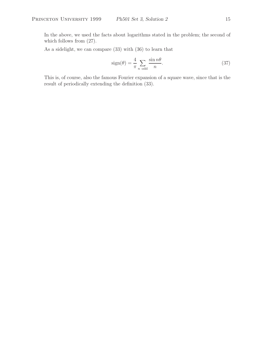In the above, we used the facts about logarithms stated in the problem; the second of which follows from  $(27)$ .

As a sidelight, we can compare (33) with (36) to learn that

$$
sign(\theta) = \frac{4}{\pi} \sum_{n \text{ odd}} \frac{\sin n\theta}{n}.
$$
\n(37)

This is, of course, also the famous Fourier expansion of a square wave, since that is the result of periodically extending the definition (33).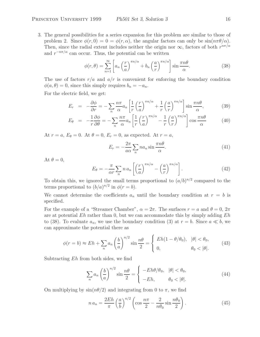3. The general possibilities for a series expansion for this problem are similar to those of problem 2. Since  $\phi(r, 0) = 0 = \phi(r, \alpha)$ , the angular factors can only be  $\sin(n\pi\theta/\alpha)$ . Then, since the radial extent includes neither the origin nor  $\infty$ , factors of both  $r^{n\pi/\alpha}$ and  $r^{-n\pi/\alpha}$  can occur. Thus, the potential can be written

$$
\phi(r,\theta) = \sum_{n=1}^{\infty} \left[ a_n \left( \frac{r}{a} \right)^{\pi n/\alpha} + b_n \left( \frac{a}{r} \right)^{\pi n/\alpha} \right] \sin \frac{\pi n \theta}{\alpha}.
$$
 (38)

The use of factors  $r/a$  and  $a/r$  is convenient for enforcing the boundary condition  $\phi(a, \theta) = 0$ , since this simply requires  $b_n = -a_n$ .

For the electric field, we get:

$$
E_r = -\frac{\partial \phi}{\partial r} = -\sum_n \frac{n\pi}{\alpha} a_n \left[ \frac{1}{r} \left( \frac{r}{a} \right)^{\pi n/\alpha} + \frac{1}{r} \left( \frac{a}{r} \right)^{\pi n/\alpha} \right] \sin \frac{\pi n \theta}{\alpha},\tag{39}
$$

$$
E_{\theta} = -\frac{1}{r}\frac{\partial\phi}{\partial\theta} = -\sum_{n} \frac{n\pi}{\alpha} a_n \left[ \frac{1}{r} \left( \frac{r}{a} \right)^{\pi n/\alpha} - \frac{1}{r} \left( \frac{a}{r} \right)^{\pi n/\alpha} \right] \cos \frac{\pi n\theta}{\alpha} \tag{40}
$$

At  $r = a$ ,  $E_{\theta} = 0$ . At  $\theta = 0$ ,  $E_r = 0$ , as expected. At  $r = a$ ,

$$
E_r = -\frac{2\pi}{a\alpha} \sum_n n a_n \sin \frac{\pi n \theta}{\alpha}.
$$
\n(41)

At  $\theta = 0$ ,

$$
E_{\theta} = -\frac{\pi}{\alpha r} \sum_{n} n a_{n} \left[ \left( \frac{r}{a} \right)^{\pi n/\alpha} - \left( \frac{a}{r} \right)^{\pi n/\alpha} \right]. \tag{42}
$$

To obtain this, we ignored the small terms proportional to  $(a/b)^{n/2}$  compared to the terms proportional to  $(b/a)^{n/2}$  in  $\phi(r=b)$ .

We cannot determine the coefficients  $a_n$  until the boundary condition at  $r = b$  is specified.

For the example of a "Streamer Chamber",  $\alpha = 2\pi$ . The surfaces  $r = a$  and  $\theta = 0, 2\pi$ are at potential  $Eh$  rather than 0, but we can accommodate this by simply adding  $Eh$ to (38). To evaluate  $a_n$ , we use the boundary condition (3) at  $r = b$ . Since  $a \ll b$ , we can approximate the potential there as

$$
\phi(r=b) \approx Eh + \sum_{n} a_n \left(\frac{b}{a}\right)^{n/2} \sin\frac{n\theta}{2} = \begin{cases} Eh(1-\theta/\theta_0), & |\theta| < \theta_0, \\ 0, & \theta_0 < |\theta|. \end{cases}
$$
(43)

Subtracting Eh from both sides, we find

$$
\sum_{n} a_n \left(\frac{b}{a}\right)^{n/2} \sin \frac{n\theta}{2} = \begin{cases}\n- Eh\theta/\theta_0, & |\theta| < \theta_0, \\
-Eh, & \theta_0 < |\theta|. \n\end{cases}
$$
\n(44)

On multiplying by  $\sin(n\theta/2)$  and integrating from 0 to  $\pi$ , we find

$$
n a_n = \frac{2Eh}{\pi} \left(\frac{a}{b}\right)^{n/2} \left(\cos \frac{n\pi}{2} - \frac{2}{n\theta_0} \sin \frac{n\theta_0}{2}\right). \tag{45}
$$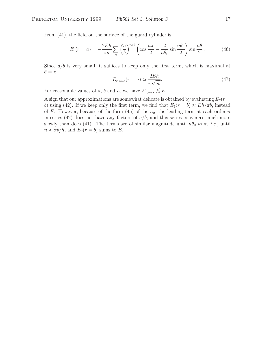From (41), the field on the surface of the guard cylinder is

$$
E_r(r=a) = -\frac{2Eh}{\pi a} \sum_n \left(\frac{a}{b}\right)^{n/2} \left(\cos\frac{n\pi}{2} - \frac{2}{n\theta_0}\sin\frac{n\theta_0}{2}\right) \sin\frac{n\theta}{2}.
$$
 (46)

Since  $a/b$  is very small, it suffices to keep only the first term, which is maximal at  $\theta = \pi$ :  $\sim$   $\sim$   $\sim$ 

$$
E_{r,\max}(r=a) \simeq \frac{2Eh}{\pi\sqrt{ab}}.\tag{47}
$$

For reasonable values of a, b and h, we have  $E_{r,\text{max}} \lesssim E$ .

A sign that our approximations are somewhat delicate is obtained by evaluating  $E_{\theta}(r =$ b) using (42). If we keep only the first term, we find that  $E_{\theta}(r = b) \approx Eh/\pi b$ , instead of E. However, because of the form  $(45)$  of the  $a_n$ , the leading term at each order n in series (42) does not have any factors of  $a/b$ , and this series converges much more slowly than does (41). The terms are of similar magnitude until  $n\theta_0 \approx \pi$ , *i.e.*, until  $n \approx \pi b/h$ , and  $E_{\theta}(r = b)$  sums to E.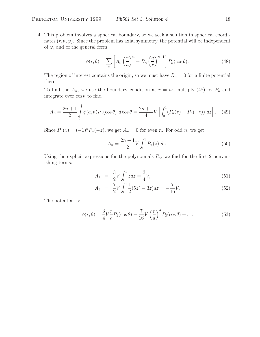4. This problem involves a spherical boundary, so we seek a solution in spherical coordinates  $(r, \theta, \varphi)$ . Since the problem has axial symmetry, the potential will be independent of  $\varphi$ , and of the general form

$$
\phi(r,\theta) = \sum_{n} \left[ A_n \left( \frac{r}{a} \right)^n + B_n \left( \frac{a}{r} \right)^{n+1} \right] P_n(\cos \theta). \tag{48}
$$

The region of interest contains the origin, so we must have  $B_n = 0$  for a finite potential there.

To find the  $A_n$ , we use the boundary condition at  $r = a$ : multiply (48) by  $P_n$  and integrate over  $\cos \theta$  to find

$$
A_n = \frac{2n+1}{2} \int_0^1 \phi(a,\theta) P_n(\cos\theta) \ d\cos\theta = \frac{2n+1}{4} V \left[ \int_0^1 (P_n(z) - P_n(-z)) \ dz \right]. \tag{49}
$$

Since  $P_n(z)=(-1)^nP_n(-z)$ , we get  $A_n=0$  for even n. For odd n, we get

$$
A_n = \frac{2n+1}{2} V \int_0^1 P_n(z) \ dz.
$$
 (50)

Using the explicit expressions for the polynomials  $P_n$ , we find for the first 2 nonvanishing terms:

$$
A_1 = \frac{3}{2}V \int_0^1 z dz = \frac{3}{4}V,\tag{51}
$$

$$
A_3 = \frac{7}{2}V \int_0^1 \frac{1}{2} (5z^2 - 3z) dz = -\frac{7}{16}V.
$$
 (52)

The potential is:

$$
\phi(r,\theta) = \frac{3}{4}V\frac{r}{a}P_1(\cos\theta) - \frac{7}{16}V\left(\frac{r}{a}\right)^3P_3(\cos\theta) + \dots
$$
\n(53)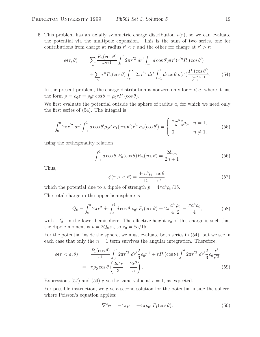5. This problem has an axially symmetric charge distribution  $\rho(r)$ , so we can evaluate the potential via the multipole expansion. This is the sum of two series, one for contributions from charge at radius  $r' < r$  and the other for charge at  $r' > r$ :

$$
\phi(r,\theta) = \sum_{n} \frac{P_n(\cos\theta)}{r^{n+1}} \int_0^r 2\pi r'^2 dr' \int_{-1}^1 d\cos\theta' \rho(r') r'^n P_n(\cos\theta') + \sum_{n} r^n P_n(\cos\theta) \int_r^\infty 2\pi r'^2 dr' \int_{-1}^1 d\cos\theta' \rho(r') \frac{P_n(\cos\theta')}{(r')^{n+1}}.
$$
(54)

In the present problem, the charge distribution is nonzero only for  $r < a$ , where it has the form  $\rho = \rho_0 z = \rho_0 r \cos \theta = \rho_0 r P_1(\cos \theta)$ .

We first evaluate the potential outside the sphere of radius  $a$ , for which we need only the first series of (54). The integral is

$$
\int_0^a 2\pi r'^2 dr' \int_{-1}^1 d\cos\theta' \rho_0 r' P_1(\cos\theta') r'^n P_n(\cos\theta') = \begin{cases} \frac{2\pi a^5}{5} \frac{2}{3} \rho_0, & n = 1, \\ 0, & n \neq 1. \end{cases}
$$
 (55)

using the orthogonality relation

$$
\int_{-1}^{1} d\cos\theta \ P_n(\cos\theta) P_m(\cos\theta) = \frac{2\delta_{nm}}{2n+1}.
$$
 (56)

Thus,

$$
\phi(r > a, \theta) = \frac{4\pi a^5 \rho_0 \cos \theta}{15} \cdot (57)
$$

which the potential due to a dipole of strength  $p = 4\pi a^4 \rho_0/15$ .

The total charge in the upper hemisphere is

$$
Q_0 = \int_0^a 2\pi r^2 \, dr \int_0^1 d\cos\theta \, \rho_0 r P_1(\cos\theta) = 2\pi \frac{a^4 \, \rho_0}{4 \, 2} = \frac{\pi a^4 \rho_0}{4},\tag{58}
$$

with  $-Q_0$  in the lower hemisphere. The effective height  $z_0$  of this charge is such that the dipole moment is  $p = 2Q_0z_0$ , so  $z_0 = 8a/15$ .

For the potential inside the sphere, we must evaluate both series in (54), but we see in each case that only the  $n = 1$  term survives the angular integration. Therefore,

$$
\phi(r < a, \theta) = \frac{P_1(\cos \theta)}{r^2} \int_0^r 2\pi r'^2 dr' \frac{2}{3} \rho_0 r'^2 + r P_1(\cos \theta) \int_r^a 2\pi r'^2 dr' \frac{2}{3} \rho_0 \frac{r'}{r'^2}
$$
\n
$$
= \pi \rho_0 \cos \theta \left( \frac{2a^2 r}{3} - \frac{2r^3}{5} \right). \tag{59}
$$

Expressions (57) and (59) give the same value at  $r = 1$ , as expected.

For possible instruction, we give a second solution for the potential inside the sphere, where Poisson's equation applies:

$$
\nabla^2 \phi = -4\pi \rho = -4\pi \rho_0 r P_1(\cos \theta). \tag{60}
$$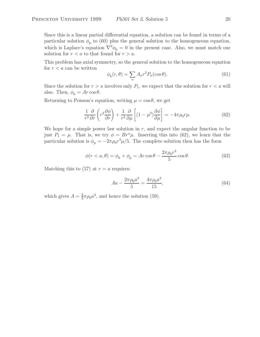Since this is a linear partial differential equation, a solution can be found in terms of a particular solution  $\phi_p$  to (60) plus the general solution to the homogeneous equation, which is Laplace's equation  $\nabla^2 \phi_h = 0$  in the present case. Also, we must match our solution for  $r < a$  to that found for  $r > a$ .

This problem has axial symmetry, so the general solution to the homogeneous equation for  $r < a$  can be written

$$
\phi_{\rm h}(r,\theta) = \sum_{n} A_n r^2 P_n(\cos \theta). \tag{61}
$$

Since the solution for  $r > a$  involves only  $P_1$ , we expect that the solution for  $r < a$  will also. Then,  $\phi_h = Ar \cos \theta$ .

Returning to Poisson's equation, writing  $\mu = \cos \theta$ , we get

$$
\frac{1}{r^2} \frac{\partial}{\partial r} \left( r^2 \frac{\partial \phi}{\partial r} \right) + \frac{1}{r^2} \frac{\partial}{\partial \mu} \left[ (1 - \mu^2) \frac{\partial \phi}{\partial \mu} \right] = -4\pi \rho_0 r \mu. \tag{62}
$$

We hope for a simple power law solution in  $r$ , and expect the angular function to be just  $P_1 = \mu$ . That is, we try  $\phi = Br^n\mu$ . Inserting this into (62), we learn that the particular solution is  $\phi_p = -2\pi \rho_0 r^3 \mu/5$ . The complete solution then has the form

$$
\phi(r < a, \theta) = \phi_{\rm h} + \phi_{\rm p} = Ar\cos\theta - \frac{2\pi\rho_0 r^3}{5}\cos\theta. \tag{63}
$$

Matching this to  $(57)$  at  $r = a$  requires:

$$
Aa - \frac{2\pi\rho_0 a^3}{5} = \frac{4\pi\rho_0 a^3}{15},\tag{64}
$$

which gives  $A = \frac{2}{3}\pi \rho_0 a^2$ , and hence the solution (59).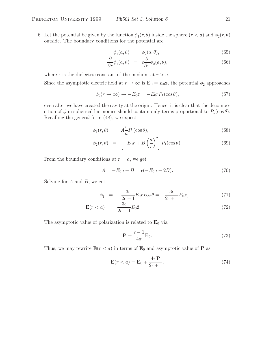6. Let the potential be given by the function  $\phi_1(r, \theta)$  inside the sphere  $(r < a)$  and  $\phi_2(r, \theta)$ outside. The boundary conditions for the potential are

$$
\phi_1(a,\theta) = \phi_2(a,\theta), \tag{65}
$$

$$
\frac{\partial}{\partial r}\phi_1(a,\theta) = \epsilon \frac{\partial}{\partial r}\phi_2(a,\theta),\tag{66}
$$

where  $\epsilon$  is the dielectric constant of the medium at  $r > a$ .

Since the asymptotic electric field at  $r \to \infty$  is  $\mathbf{E_0} = E_0 \hat{\mathbf{z}}$ , the potential  $\phi_2$  approaches

$$
\phi_2(r \to \infty) \to -E_0 z = -E_0 r P_1(\cos \theta),\tag{67}
$$

even after we have created the cavity at the origin. Hence, it is clear that the decomposition of  $\phi$  in spherical harmonics should contain only terms proportional to  $P_1(\cos \theta)$ . Recalling the general form (48), we expect

$$
\phi_1(r,\theta) = A_{\overline{a}}^T P_1(\cos\theta), \qquad (68)
$$

$$
\phi_2(r,\theta) = \left[-E_0r + B\left(\frac{a}{r}\right)^2\right]P_1(\cos\theta). \tag{69}
$$

From the boundary conditions at  $r = a$ , we get

$$
A = -E_0 a + B = \epsilon(-E_0 a - 2B). \tag{70}
$$

Solving for  $A$  and  $B$ , we get

$$
\phi_1 = -\frac{3\epsilon}{2\epsilon + 1} E_0 r \cos \theta = -\frac{3\epsilon}{2\epsilon + 1} E_0 z,\tag{71}
$$

$$
\mathbf{E}(r < a) = \frac{3\epsilon}{2\epsilon + 1} E_0 \hat{\mathbf{z}}.\tag{72}
$$

The asymptotic value of polarization is related to  $\mathbf{E}_0$  via

$$
\mathbf{P} = \frac{\epsilon - 1}{4\pi} \mathbf{E}_0.
$$
 (73)

Thus, we may rewrite  $\mathbf{E}(r < a)$  in terms of  $\mathbf{E}_0$  and asymptotic value of **P** as

$$
\mathbf{E}(r < a) = \mathbf{E}_0 + \frac{4\pi \mathbf{P}}{2\epsilon + 1}.\tag{74}
$$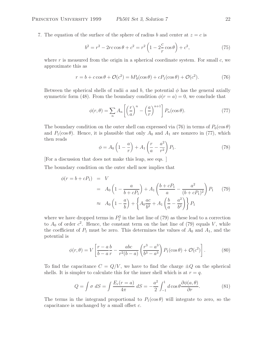7. The equation of the surface of the sphere of radius b and center at  $z = c$  is

$$
b^{2} = r^{2} - 2rc \cos \theta + c^{2} = r^{2} \left( 1 - 2\frac{c}{r} \cos \theta \right) + c^{2},
$$
 (75)

where r is measured from the origin in a spherical coordinate system. For small  $c$ , we approximate this as

$$
r = b + c\cos\theta + \mathcal{O}(c^2) = bP_0(\cos\theta) + cP_1(\cos\theta) + \mathcal{O}(c^2). \tag{76}
$$

Between the spherical shells of radii a and b, the potential  $\phi$  has the general axially symmetric form (48). From the boundary condition  $\phi(r=a)=0$ , we conclude that

$$
\phi(r,\theta) = \sum_{n} A_n \left[ \left(\frac{r}{a}\right)^n - \left(\frac{a}{r}\right)^{n+1} \right] P_n(\cos\theta). \tag{77}
$$

The boundary condition on the outer shell can expressed via (76) in terms of  $P_0(\cos \theta)$ and  $P_1(\cos \theta)$ . Hence, it is plausible that only  $A_0$  and  $A_1$  are nonzero in (77), which then reads

$$
\phi = A_0 \left( 1 - \frac{a}{r} \right) + A_1 \left( \frac{r}{a} - \frac{a^2}{r^2} \right) P_1. \tag{78}
$$

[For a discussion that does not make this leap, see eqs. ]

The boundary condition on the outer shell now implies that

$$
\phi(r = b + cP_1) = V
$$
  
=  $A_0 \left( 1 - \frac{a}{b + cP_1} \right) + A_1 \left( \frac{b + cP_1}{a} - \frac{a^2}{(b + cP_1)^2} \right) P_1$  (79)  
 $\approx A_0 \left( 1 - \frac{a}{b} \right) + \left\{ A_0 \frac{ac}{b^2} + A_1 \left( \frac{b}{a} - \frac{a^2}{b^2} \right) \right\} P_1$ 

where we have dropped terms in  $P_1^2$  in the last line of (79) as these lead to a correction to  $A_0$  of order  $c^2$ . Hence, the constant term on the last line of (79) equals V, while the coefficient of  $P_1$  must be zero. This determines the values of  $A_0$  and  $A_1$ , and the potential is

$$
\phi(r,\theta) = V \left[ \frac{r-a}{b-a} \frac{b}{r} - \frac{abc}{r^2(b-a)} \left( \frac{r^3 - a^3}{b^3 - a^3} \right) P_1(\cos \theta) + \mathcal{O}(c^2) \right].
$$
 (80)

To find the capacitance  $C = Q/V$ , we have to find the charge  $\pm Q$  on the spherical shells. It is simpler to calculate this for the inner shell which is at  $r = q$ .

$$
Q = \int \sigma \ dS = \int \frac{E_r(r=a)}{4\pi} \ dS = -\frac{a^2}{2} \int_{-1}^1 d\cos\theta \frac{\partial \phi(a,\theta)}{\partial r}.
$$
 (81)

The terms in the integrand proportional to  $P_1(\cos \theta)$  will integrate to zero, so the capacitance is unchanged by a small offset  $c$ .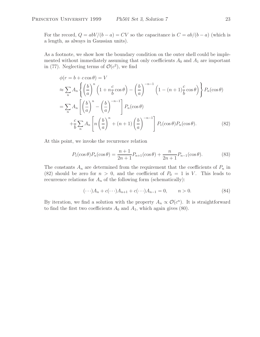For the record,  $Q = abV/(b - a) = CV$  so the capacitance is  $C = ab/(b - a)$  (which is a length, as always in Gaussian units).

As a footnote, we show how the boundary condition on the outer shell could be implemented without immediately assuming that only coefficients  $A_0$  and  $A_1$  are important in (77). Neglecting terms of  $\mathcal{O}(c^2)$ , we find

$$
\phi(r = b + c \cos \theta) = V
$$
  
\n
$$
\approx \sum_{n} A_n \left\{ \left(\frac{b}{a}\right)^n \left(1 + n \frac{c}{b} \cos \theta\right) - \left(\frac{b}{a}\right)^{-n-1} \left(1 - (n+1) \frac{c}{b} \cos \theta\right) \right\} P_n(\cos \theta)
$$
  
\n
$$
= \sum_{n} A_n \left[ \left(\frac{b}{a}\right)^n - \left(\frac{b}{a}\right)^{-n-1} \right] P_n(\cos \theta)
$$
  
\n
$$
+ \frac{c}{b} \sum_{n} A_n \left[ n \left(\frac{b}{a}\right)^n + (n+1) \left(\frac{b}{a}\right)^{-n-1} \right] P_1(\cos \theta) P_n(\cos \theta).
$$
 (82)

At this point, we invoke the recurrence relation

$$
P_1(\cos \theta)P_n(\cos \theta) = \frac{n+1}{2n+1}P_{n+1}(\cos \theta) + \frac{n}{2n+1}P_{n-1}(\cos \theta).
$$
 (83)

The constants  $A_n$  are determined from the requirement that the coefficients of  $P_n$  in (82) should be zero for  $n > 0$ , and the coefficient of  $P_0 = 1$  is V. This leads to recurrence relations for  $A_n$  of the following form (schematically):

$$
(\cdots)A_n + c(\cdots)A_{n+1} + c(\cdots)A_{n-1} = 0, \qquad n > 0.
$$
 (84)

By iteration, we find a solution with the property  $A_n \propto \mathcal{O}(c^n)$ . It is straightforward to find the first two coefficients  $A_0$  and  $A_1$ , which again gives (80).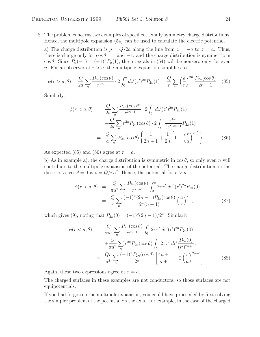8. The problem concerns two examples of specified, axially symmetry charge distributions. Hence, the multipole expansion (54) can be used to calculate the electric potential.

a) The charge distribution is  $\rho = Q/2a$  along the line from  $z = -a$  to  $z = a$ . Thus, there is charge only for  $\cos \theta = 1$  and  $-1$ , and the charge distribution is symmetric in cos θ. Since  $P_n(-1) = (-1)^n P_n(1)$ , the integrals in (54) will be nonzero only for even n. For an observer at  $r > a$ , the multipole expansion simplifies to

$$
\phi(r > a, \theta) = \frac{Q}{2a} \sum_{n} \frac{P_{2n}(\cos \theta)}{r^{2n+1}} \cdot 2 \int_0^a dz'(z')^{2n} P_{2n}(1) = \frac{Q}{r} \sum_{n} \left(\frac{a}{r}\right)^{2n} \frac{P_{2n}(\cos \theta)}{2n+1}.
$$
 (85)

Similarly,

$$
\phi(r < a, \theta) = \frac{Q}{2a} \sum_{n} \frac{P_{2n}(\cos \theta)}{r^{2n+1}} \cdot 2 \int_{0}^{r} dz'(z')^{2n} P_{2n}(1) + \frac{Q}{2a} \sum_{n} r^{2n} P_{2n}(\cos \theta) \cdot 2 \int_{r}^{a} \frac{dz'}{(z')^{2n+1}} P_{2n}(1) = \frac{Q}{a} \sum_{n} P_{2n}(\cos \theta) \left\{ \frac{1}{2n+1} + \frac{1}{2n} \left[ 1 - \left(\frac{r}{a}\right)^{2n} \right] \right\}. \tag{86}
$$

As expected (85) and (86) agree at  $r = a$ .

b) As in example a), the charge distribution is symmetric in  $\cos \theta$ , so only even n will contribute to the multipole expansion of the potential. The charge distribution on the disc  $r < a$ ,  $\cos \theta = 0$  is  $\rho = Q/\pi a^2$ . Hence, the potential for  $r > a$  is

$$
\phi(r > a, \theta) = \frac{Q}{\pi a^2} \sum_{n} \frac{P_{2n}(\cos \theta)}{r^{2n+1}} \int_0^a 2\pi r' dr' (r')^{2n} P_{2n}(0)
$$

$$
= \frac{Q}{r} \sum_{n} \frac{(-1)^n (2n-1) P_{2n}(\cos \theta)}{2^n (n+1)} \left(\frac{a}{r}\right)^{2n}, \tag{87}
$$

which gives (9), noting that  $P_{2n}(0) = (-1)^2(2n-1)/2^n$ . Similarly,

$$
\phi(r < a, \theta) = \frac{Q}{\pi a^2} \sum_n \frac{P_{2n}(\cos \theta)}{r^{2n+1}} \int_0^r 2\pi r' \, dr'(r')^{2n} P_{2n}(0) \\
+ \frac{Q}{\pi a^2} \sum_n r^{2n} P_{2n}(\cos \theta) \int_r^a 2\pi r' \, dr' \frac{P_{2n}(0)}{(r')^{2n+1}} \\
= \frac{Qr}{a^2} \sum_n \frac{(-1)^n P_{2n}(\cos \theta)}{2^n} \left[ \frac{4n+1}{n+1} - 2\left(\frac{r}{a}\right)^{2n-1} \right].
$$
\n(88)

Again, these two expressions agree at  $r = a$ .

The charged surfaces in these examples are not conductors, so those surfaces are not equipotentials.

If you had forgotten the multipole expansion, you could have proceeded by first solving the simpler problem of the potential on the axis. For example, in the case of the charged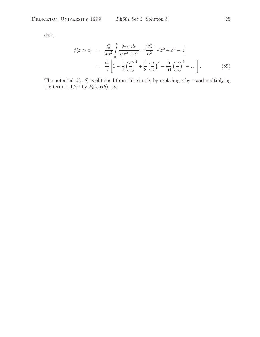disk,

$$
\phi(z > a) = \frac{Q}{\pi a^2} \int_0^a \frac{2\pi r \, dr}{\sqrt{r^2 + z^2}} = \frac{2Q}{a^2} \left[ \sqrt{z^2 + a^2} - z \right]
$$

$$
= \frac{Q}{z} \left[ 1 - \frac{1}{4} \left( \frac{a}{z} \right)^2 + \frac{1}{8} \left( \frac{a}{z} \right)^4 - \frac{5}{64} \left( \frac{a}{z} \right)^6 + \dots \right]. \tag{89}
$$

The potential  $\phi(r, \theta)$  is obtained from this simply by replacing z by r and multiplying the term in  $1/r^n$  by  $P_n(\cos \theta)$ , *etc.*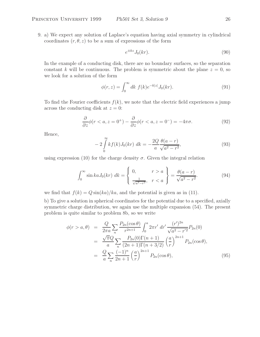9. a) We expect any solution of Laplace's equation having axial symmetry in cylindrical coordinates  $(r, \theta, z)$  to be a sum of expressions of the form

$$
e^{\pm kz}J_0(kr). \tag{90}
$$

In the example of a conducting disk, there are no boundary surfaces, so the separation constant k will be continuous. The problem is symmetric about the plane  $z = 0$ , so we look for a solution of the form

$$
\phi(r,z) = \int_0^\infty dk \ f(k)e^{-k|z|} J_0(kr). \tag{91}
$$

To find the Fourier coefficients  $f(k)$ , we note that the electric field experiences a jump across the conducting disk at  $z = 0$ :

$$
\frac{\partial}{\partial z}\phi(r < a, z = 0^+) - \frac{\partial}{\partial z}\phi(r < a, z = 0^-) = -4\pi\sigma. \tag{92}
$$

Hence,

$$
-2\int_{0}^{\infty} k f(k) J_0(kr) \, dk = -\frac{2Q}{a} \frac{\theta(a-r)}{\sqrt{a^2 - r^2}},\tag{93}
$$

using expression (10) for the charge density  $\sigma$ . Given the integral relation

$$
\int_0^\infty \sin ka J_0(kr) \, dk = \begin{cases} 0, & r > a \\ \frac{1}{\sqrt{a^2 - r^2}}, & r < a \end{cases} = \frac{\theta(a-r)}{\sqrt{a^2 - r^2}}. \tag{94}
$$

we find that  $f(k) = Q \sin(ka)/ka$ , and the potential is given as in (11).

b) To give a solution in spherical coordinates for the potential due to a specified, axially symmetric charge distribution, we again use the multiple expansion (54). The present problem is quite similar to problem 8b, so we write

$$
\phi(r > a, \theta) = \frac{Q}{2\pi a} \sum_{n} \frac{P_{2n}(\cos \theta)}{r^{2n+1}} \int_{0}^{a} 2\pi r' dr' \frac{(r')^{2n}}{\sqrt{a^{2} - r'^{2}}} P_{2n}(0)
$$

$$
= \frac{\sqrt{\pi}Q}{a} \sum_{n} \frac{P_{2n}(0)\Gamma(n+1)}{(2n+1)\Gamma(n+3/2)} \left(\frac{a}{r}\right)^{2n+1} P_{2n}(\cos \theta),
$$

$$
= \frac{Q}{a} \sum_{n} \frac{(-1)^{n}}{2n+1} \left(\frac{a}{r}\right)^{2n+1} P_{2n}(\cos \theta), \tag{95}
$$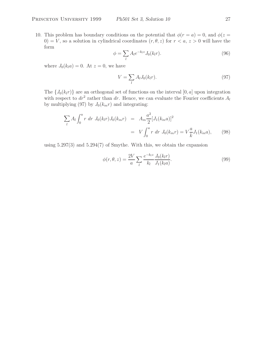10. This problem has boundary conditions on the potential that  $\phi(r = a) = 0$ , and  $\phi(z = a)$ 0) = V, so a solution in cylindrical coordinates  $(r, \theta, z)$  for  $r < a, z > 0$  will have the form

$$
\phi = \sum_{l} A_l e^{-k_l z} J_0(k_l r). \tag{96}
$$

where  $J_0(k_l a) = 0$ . At  $z = 0$ , we have

$$
V = \sum_{l} A_l J_0(k_l r). \tag{97}
$$

The  $\{J_0(k_lr)\}\$  are an orthogonal set of functions on the interval [0, a] upon integration with respect to  $dr^2$  rather than dr. Hence, we can evaluate the Fourier coefficients  $A_l$ by multiplying (97) by  $J_0(k_m r)$  and integrating:

$$
\sum_{l} A_{l} \int_{0}^{a} r dr J_{0}(k_{l}r) J_{0}(k_{m}r) = A_{m} \frac{a^{2}}{2} [J_{1}(k_{m}a)]^{2}
$$

$$
= V \int_{0}^{a} r dr J_{0}(k_{m}r) = V \frac{a}{k} J_{1}(k_{m}a), \qquad (98)
$$

using 5.297(3) and 5.294(7) of Smythe. With this, we obtain the expansion

$$
\phi(r,\theta,z) = \frac{2V}{a} \sum_{l} \frac{e^{-k_l z}}{k_l} \frac{J_0(k_l r)}{J_1(k_l a)}.
$$
\n(99)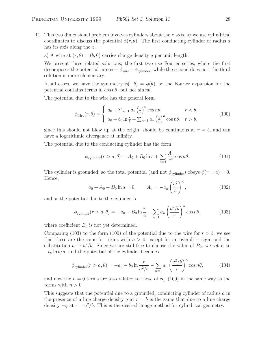- 11. This two dimensional problem involves cylinders about the z axis, so we use cylindrical coordinates to discuss the potential  $\phi(r, \theta)$ . The first conducting cylinder of radius a has its axis along the z.
	- a) A wire at  $(r, \theta) = (b, 0)$  carries charge density q per unit length.

We present three related solutions; the first two use Fourier series, where the first decomposes the potential into  $\phi = \phi_{\text{wire}} + \phi_{\text{cylinder}}$ , while the second does not; the third solution is more elementary.

In all cases, we have the symmetry  $\phi(-\theta) = \phi(\theta)$ , so the Fourier expansion for the potential contains terms in  $\cos n\theta$ , but not  $\sin n\theta$ .

The potential due to the wire has the general form

$$
\phi_{\text{wire}}(r,\theta) = \begin{cases} a_0 + \sum_{n=1} a_n \left(\frac{r}{b}\right)^n \cos n\theta, & r < b, \\ a_0 + b_0 \ln \frac{r}{b} + \sum_{n=1} a_n \left(\frac{b}{r}\right)^n \cos n\theta, & r > b, \end{cases}
$$
(100)

since this should not blow up at the origin, should be continuous at  $r = b$ , and can have a logarithmic divergence at infinity.

The potential due to the conducting cylinder has the form

$$
\phi_{\text{cylinder}}(r > a, \theta) = A_0 + B_0 \ln r + \sum_{n=1} \frac{A_n}{r^n} \cos n\theta.
$$
\n(101)

The cylinder is grounded, so the total potential (and not  $\phi_{\text{cylinder}}$ ) obeys  $\phi(r = a) = 0$ . Hence,

$$
a_0 + A_0 + B_0 \ln a = 0, \qquad A_n = -a_n \left(\frac{a^2}{b}\right)^n, \tag{102}
$$

and so the potential due to the cylinder is

$$
\phi_{\text{cylinder}}(r > a, \theta) = -a_0 + B_0 \ln \frac{r}{a} - \sum_{n=1} a_n \left(\frac{a^2/b}{r}\right)^n \cos n\theta,\tag{103}
$$

where coefficient  $B_0$  is not yet determined.

Comparing (103) to the form (100) of the potential due to the wire for  $r>b$ , we see that these are the same for terms with  $n > 0$ , except for an overall – sign, and the substitution  $b \to a^2/b$ . Since we are still free to choose the value of  $B_0$ , we set it to  $-b_0 \ln b/a$ , and the potential of the cylinder becomes

$$
\phi_{\text{cylinder}}(r > a, \theta) = -a_0 - b_0 \ln \frac{r}{a^2/b} - \sum_{n=1} a_n \left(\frac{a^2/b}{r}\right)^n \cos n\theta,\tag{104}
$$

and now the  $n = 0$  terms are also related to those of eq. (100) in the same way as the terms with  $n > 0$ .

This suggests that the potential due to a grounded, conducting cylinder of radius a in the presence of a line charge density q at  $r = b$  is the same that due to a line charge density  $-q$  at  $r = a^2/b$ . This is the desired image method for cylindrical geometry.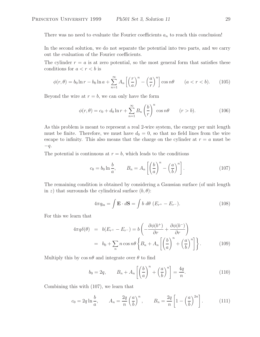There was no need to evaluate the Fourier coefficients  $a_n$  to reach this conclusion!

In the second solution, we do not separate the potential into two parts, and we carry out the evaluation of the Fourier coefficients.

The cylinder  $r = a$  is at zero potential, so the most general form that satisfies these conditions for  $a < r < b$  is

$$
\phi(r,\theta) = b_0 \ln r - b_0 \ln a + \sum_{n=1}^{\infty} A_n \left[ \left( \frac{r}{a} \right)^n - \left( \frac{a}{r} \right)^n \right] \cos n\theta \qquad (a < r < b). \tag{105}
$$

Beyond the wire at  $r = b$ , we can only have the form

$$
\phi(r,\theta) = c_0 + d_0 \ln r + \sum_{n=1}^{\infty} B_n \left(\frac{b}{r}\right)^n \cos n\theta \qquad (r > b).
$$
 (106)

As this problem is meant to represent a real 2-wire system, the energy per unit length must be finite. Therefore, we must have  $d_0 = 0$ , so that no field lines from the wire escape to infinity. This also means that the charge on the cylinder at  $r = a$  must be  $-q.$ 

The potential is continuous at  $r = b$ , which leads to the conditions

$$
c_0 = b_0 \ln \frac{b}{a}, \qquad B_n = A_n \left[ \left( \frac{b}{a} \right)^n - \left( \frac{a}{b} \right)^n \right]. \tag{107}
$$

The remaining condition is obtained by considering a Gaussian surface (of unit length in z) that surrounds the cylindrical surface  $(b, \theta)$ :

$$
4\pi q_{\rm in} = \int \mathbf{E} \cdot d\mathbf{S} = \int b \, d\theta \, (E_{r^+} - E_{r^-}). \tag{108}
$$

For this we learn that

$$
4\pi q \delta(\theta) = b(E_{r^{+}} - E_{r^{-}}) = b\left(-\frac{\partial \phi(b^{+})}{\partial r} + \frac{\partial \phi(b^{-})}{\partial r}\right)
$$
  
=  $b_0 + \sum_n n \cos n\theta \left\{B_n + A_n \left[\left(\frac{b}{a}\right)^n + \left(\frac{a}{b}\right)^n\right]\right\}.$  (109)

Multiply this by  $\cos n\theta$  and integrate over  $\theta$  to find

$$
b_0 = 2q, \qquad B_n + A_n \left[ \left( \frac{b}{a} \right)^n + \left( \frac{a}{b} \right)^n \right] = \frac{4q}{n}.
$$
 (110)

Combining this with (107), we learn that

$$
c_0 = 2q \ln \frac{b}{a}, \qquad A_n = \frac{2q}{n} \left(\frac{a}{b}\right)^n, \qquad B_n = \frac{2q}{n} \left[1 - \left(\frac{a}{b}\right)^{2n}\right]. \tag{111}
$$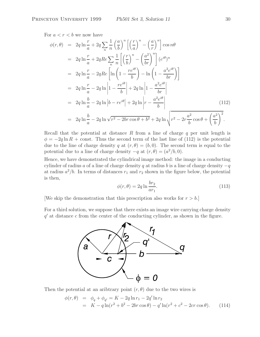For  $a < r < b$  we now have

$$
\phi(r,\theta) = 2q \ln \frac{r}{a} + 2q \sum_{n} \frac{1}{n} \left(\frac{a}{b}\right)^{n} \left[\left(\frac{r}{a}\right)^{n} - \left(\frac{a}{r}\right)^{n}\right] \cos n\theta
$$
  
\n
$$
= 2q \ln \frac{r}{a} + 2qRe \sum_{n} \frac{1}{n} \left[\left(\frac{r}{b}\right)^{n} - \left(\frac{a^{2}}{br}\right)^{n}\right] (e^{i\theta})^{n}
$$
  
\n
$$
= 2q \ln \frac{r}{a} - 2qRe \left[\ln \left(1 - \frac{re^{i\theta}}{b}\right) - \ln \left(1 - \frac{a^{2}e^{i\theta}}{br}\right)\right]
$$
  
\n
$$
= 2q \ln \frac{r}{a} - 2q \ln \left|1 - \frac{re^{i\theta}}{b}\right| + 2q \ln \left|1 - \frac{a^{2}e^{i\theta}}{br}\right|
$$
  
\n
$$
= 2q \ln \frac{b}{a} - 2q \ln \left|b - re^{i\theta}\right| + 2q \ln \left|r - \frac{a^{2}e^{i\theta}}{b}\right|
$$
  
\n
$$
= 2q \ln \frac{b}{a} - 2q \ln \sqrt{r^{2} - 2br \cos \theta + b^{2}} + 2q \ln \sqrt{r^{2} - 2r \frac{a^{2}}{b} \cos \theta + \left(\frac{a^{2}}{b}\right)^{2}}.
$$
  
\n(112)

Recall that the potential at distance R from a line of charge  $q$  per unit length is  $\phi = -2q \ln R + \text{const.}$  Thus the second term of the last line of (112) is the potential due to the line of charge density q at  $(r, \theta)=(b, 0)$ . The second term is equal to the potential due to a line of charge density  $-q$  at  $(r, \theta) = (a^2/b, 0)$ .

Hence, we have demonstrated the cylindrical image method: the image in a conducting cylinder of radius a of a line of charge density q at radius b is a line of charge density  $-q$ at radius  $a^2/b$ . In terms of distances  $r_1$  and  $r_2$  shown in the figure below, the potential is then,

$$
\phi(r,\theta) = 2q \ln \frac{br_2}{ar_1}.\tag{113}
$$

[We skip the demonstration that this prescription also works for  $r > b$ .]

For a third solution, we suppose that there exists an image wire carrying charge density  $q'$  at distance c from the center of the conducting cylinder, as shown in the figure.



Then the potential at an aribitrary point  $(r, \theta)$  due to the two wires is

$$
\begin{array}{rcl}\n\phi(r,\theta) & = & \phi_q + \phi_{q'} = K - 2q \ln r_1 - 2q' \ln r_2 \\
& = & K - q \ln(r^2 + b^2 - 2br \cos \theta) - q' \ln(r^2 + c^2 - 2cr \cos \theta).\n\end{array} \tag{114}
$$